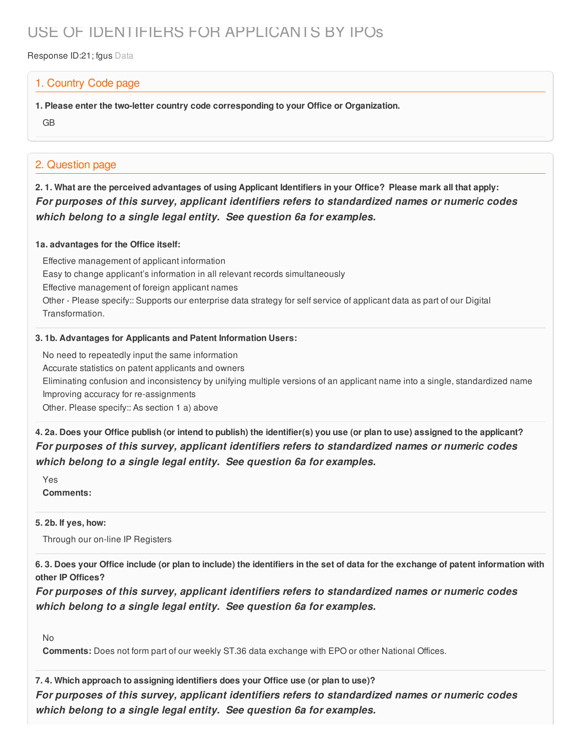# USE OF IDENTIFIERS FOR APPLICANTS BY IPOs

Response ID:21; fgus Data

## 1. Country Code page

**1. Please enter the two-letter country code corresponding to your Office or Organization.**

GB

## 2. Question page

2.1. What are the perceived advantages of using Applicant Identifiers in your Office? Please mark all that apply: *For purposes of this survey, applicant identifiers refers to standardized names or numeric codes which belong to a single legal entity. See question 6a for examples.*

#### **1a. advantages for the Office itself:**

Effective management of applicant information Easy to change applicant's information in all relevant records simultaneously Effective management of foreign applicant names Other - Please specify:: Supports our enterprise data strategy for self service of applicant data as part of our Digital Transformation.

### **3. 1b. Advantages for Applicants and Patent Information Users:**

No need to repeatedly input the same information

Accurate statistics on patent applicants and owners

Eliminating confusion and inconsistency by unifying multiple versions of an applicant name into a single, standardized name Improving accuracy for re-assignments

Other. Please specify:: As section 1 a) above

4. 2a. Does your Office publish (or intend to publish) the identifier(s) you use (or plan to use) assigned to the applicant? *For purposes of this survey, applicant identifiers refers to standardized names or numeric codes which belong to a single legal entity. See question 6a for examples.*

Yes **Comments:**

#### **5. 2b. If yes, how:**

Through our on-line IP Registers

6.3. Does your Office include (or plan to include) the identifiers in the set of data for the exchange of patent information with **other IP Offices?**

*For purposes of this survey, applicant identifiers refers to standardized names or numeric codes which belong to a single legal entity. See question 6a for examples.*

No

**Comments:** Does not form part of our weekly ST.36 data exchange with EPO or other National Offices.

**7. 4. Which approach to assigning identifiers does your Office use (or plan to use)?** *For purposes of this survey, applicant identifiers refers to standardized names or numeric codes which belong to a single legal entity. See question 6a for examples.*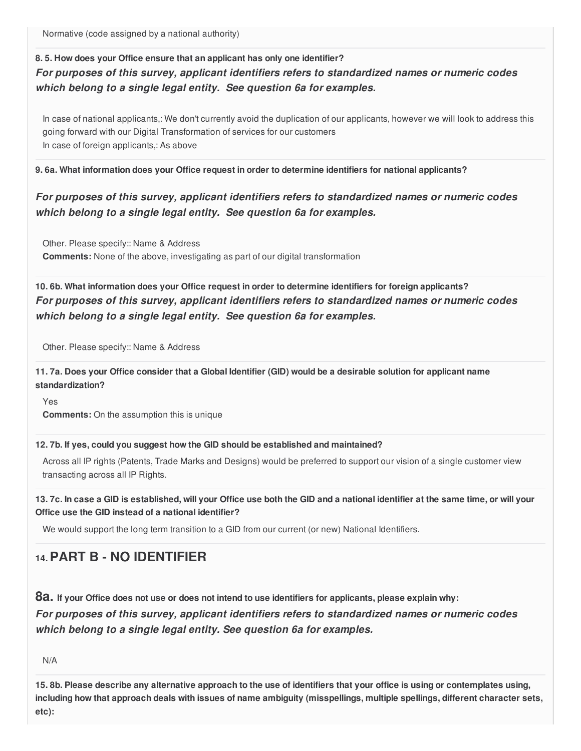Normative (code assigned by a national authority)

## **8. 5. How does your Office ensure that an applicant has only one identifier?** *For purposes of this survey, applicant identifiers refers to standardized names or numeric codes which belong to a single legal entity. See question 6a for examples.*

In case of national applicants,: We don't currently avoid the duplication of our applicants, however we will look to address this going forward with our Digital Transformation of services for our customers In case of foreign applicants,: As above

### **9. 6a. What information does your Office request in order to determine identifiers for national applicants?**

## *For purposes of this survey, applicant identifiers refers to standardized names or numeric codes which belong to a single legal entity. See question 6a for examples.*

Other. Please specify:: Name & Address **Comments:** None of the above, investigating as part of our digital transformation

**10. 6b. What information does your Office request in order to determine identifiers for foreign applicants?** *For purposes of this survey, applicant identifiers refers to standardized names or numeric codes which belong to a single legal entity. See question 6a for examples.*

Other. Please specify:: Name & Address

11.7a. Does your Office consider that a Global Identifier (GID) would be a desirable solution for applicant name **standardization?**

Yes

**Comments:** On the assumption this is unique

#### **12. 7b. If yes, could you suggest how the GID should be established and maintained?**

Across all IP rights (Patents, Trade Marks and Designs) would be preferred to support our vision of a single customer view transacting across all IP Rights.

13.7c. In case a GID is established, will your Office use both the GID and a national identifier at the same time, or will your **Office use the GID instead of a national identifier?**

We would support the long term transition to a GID from our current (or new) National Identifiers.

# **14.PART B - NO IDENTIFIER**

8a. If your Office does not use or does not intend to use identifiers for applicants, please explain why:

*For purposes of this survey, applicant identifiers refers to standardized names or numeric codes which belong to a single legal entity. See question 6a for examples.*

N/A

15.8b. Please describe any alternative approach to the use of identifiers that your office is using or contemplates using, including how that approach deals with issues of name ambiguity (misspellings, multiple spellings, different character sets, **etc):**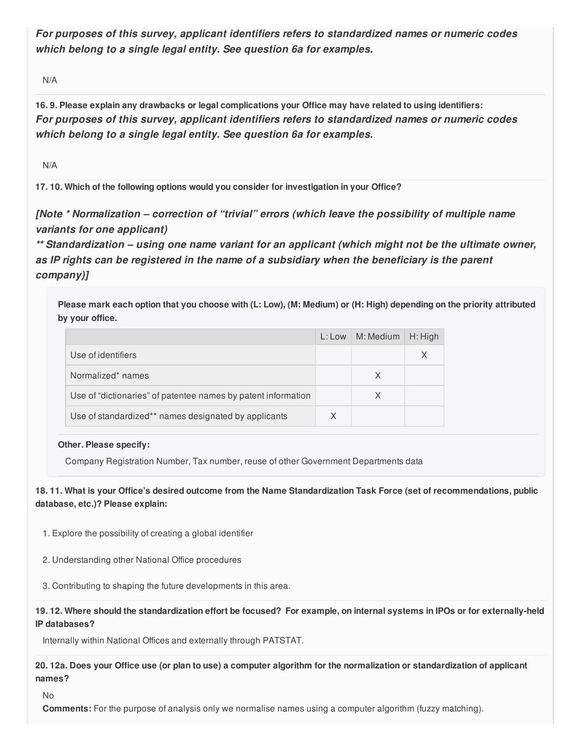*For purposes of this survey, applicant identifiers refers to standardized names or numeric codes which belong to a single legal entity. See question 6a for examples.*

N/A

16.9. Please explain any drawbacks or legal complications your Office may have related to using identifiers: *For purposes of this survey, applicant identifiers refers to standardized names or numeric codes which belong to a single legal entity. See question 6a for examples.*

N/A

**17. 10. Which of the following options would you consider for investigation in your Office?**

*[Note \* Normalization – correction of "trivial" errors (which leave the possibility of multiple name variants for one applicant)*

*\*\* Standardization – using one name variant for an applicant (which might not be the ultimate owner, as IP rights can be registered in the name of a subsidiary when the beneficiary is the parent company)]*

Please mark each option that you choose with (L: Low), (M: Medium) or (H: High) depending on the priority attributed **by your office.**

|                                                               | $L:$ Low | M: Medium | H: High |
|---------------------------------------------------------------|----------|-----------|---------|
| Use of identifiers                                            |          |           | X       |
| Normalized* names                                             |          | X         |         |
| Use of "dictionaries" of patentee names by patent information |          | X         |         |
| Use of standardized** names designated by applicants          | X        |           |         |

#### **Other. Please specify:**

Company Registration Number, Tax number, reuse of other Government Departments data

18.11. What is your Office's desired outcome from the Name Standardization Task Force (set of recommendations, public **database, etc.)? Please explain:**

- 1. Explore the possibility of creating a global identifier
- 2. Understanding other National Office procedures
- 3. Contributing to shaping the future developments in this area.

19.12. Where should the standardization effort be focused? For example, on internal systems in IPOs or for externally-held **IP databases?**

Internally within National Offices and externally through PATSTAT.

20.12a. Does your Office use (or plan to use) a computer algorithm for the normalization or standardization of applicant **names?**

#### No

**Comments:** For the purpose of analysis only we normalise names using a computer algorithm (fuzzy matching).